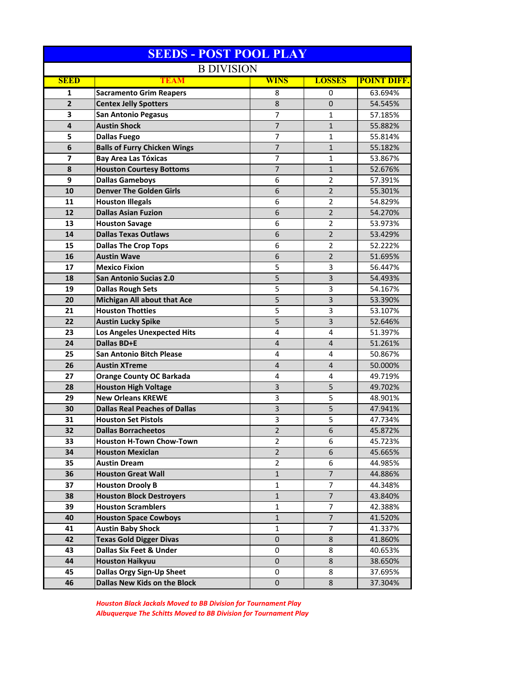| <b>SEEDS - POST POOL PLAY</b> |                                      |                     |                |                    |
|-------------------------------|--------------------------------------|---------------------|----------------|--------------------|
| <b>B DIVISION</b>             |                                      |                     |                |                    |
| <b>SEED</b>                   | TEAM                                 | <b>WINS</b>         | <b>LOSSES</b>  | <b>POINT DIFF.</b> |
| 1                             | <b>Sacramento Grim Reapers</b>       | 8                   | 0              | 63.694%            |
| $\overline{2}$                | <b>Centex Jelly Spotters</b>         | 8                   | $\mathbf 0$    | 54.545%            |
| 3                             | <b>San Antonio Pegasus</b>           | 7                   | 1              | 57.185%            |
| 4                             | <b>Austin Shock</b>                  | $\overline{7}$      | $\mathbf{1}$   | 55.882%            |
| 5                             | <b>Dallas Fuego</b>                  | $\overline{7}$      | 1              | 55.814%            |
| 6                             | <b>Balls of Furry Chicken Wings</b>  | $\overline{7}$      | $\mathbf{1}$   | 55.182%            |
| 7                             | <b>Bay Area Las Tóxicas</b>          | 7                   | 1              | 53.867%            |
| 8                             | <b>Houston Courtesy Bottoms</b>      | $\overline{7}$      | $\mathbf{1}$   | 52.676%            |
| 9                             | <b>Dallas Gameboys</b>               | 6                   | 2              | 57.391%            |
| 10                            | <b>Denver The Golden Girls</b>       | 6                   | $\overline{2}$ | 55.301%            |
| 11                            | <b>Houston Illegals</b>              | 6                   | $\overline{2}$ | 54.829%            |
| 12                            | <b>Dallas Asian Fuzion</b>           | 6                   | $\overline{2}$ | 54.270%            |
| 13                            | <b>Houston Savage</b>                | 6                   | 2              | 53.973%            |
| 14                            | <b>Dallas Texas Outlaws</b>          | 6                   | 2              | 53.429%            |
| 15                            | <b>Dallas The Crop Tops</b>          | 6                   | $\overline{2}$ | 52.222%            |
| 16                            | <b>Austin Wave</b>                   | 6                   | $\overline{2}$ | 51.695%            |
| 17                            | <b>Mexico Fixion</b>                 | 5                   | 3              | 56.447%            |
| 18                            | <b>San Antonio Sucias 2.0</b>        | 5                   | 3              | 54.493%            |
| 19                            | <b>Dallas Rough Sets</b>             | 5                   | 3              | 54.167%            |
| 20                            | <b>Michigan All about that Ace</b>   | 5                   | 3              | 53.390%            |
| 21                            | <b>Houston Thotties</b>              | 5                   | 3              | 53.107%            |
| 22                            | <b>Austin Lucky Spike</b>            | 5                   | 3              | 52.646%            |
| 23                            | Los Angeles Unexpected Hits          | 4                   | 4              | 51.397%            |
| 24                            | Dallas BD+E                          | $\overline{4}$      | $\overline{4}$ | 51.261%            |
| 25                            | <b>San Antonio Bitch Please</b>      | 4                   | 4              | 50.867%            |
| 26                            | <b>Austin XTreme</b>                 | 4                   | 4              | 50.000%            |
| 27                            | <b>Orange County OC Barkada</b>      | 4                   | 4              | 49.719%            |
| 28                            | <b>Houston High Voltage</b>          | 3                   | 5              | 49.702%            |
| 29                            | <b>New Orleans KREWE</b>             | 3                   | 5              | 48.901%            |
| 30                            | <b>Dallas Real Peaches of Dallas</b> | 3                   | 5              | 47.941%            |
| 31                            | <b>Houston Set Pistols</b>           |                     | 5              |                    |
| 32                            | <b>Dallas Borracheetos</b>           | 3<br>$\overline{2}$ | 6              | 47.734%<br>45.872% |
|                               |                                      |                     |                |                    |
| 33                            | <b>Houston H-Town Chow-Town</b>      | 2                   | 6              | 45.723%            |
| 34                            | <b>Houston Mexiclan</b>              | $\overline{2}$      | 6              | 45.665%            |
| 35                            | <b>Austin Dream</b>                  | $\overline{2}$      | 6              | 44.985%            |
| 36                            | <b>Houston Great Wall</b>            | $\mathbf{1}$        | $\overline{7}$ | 44.886%            |
| 37                            | <b>Houston Drooly B</b>              | 1                   | 7              | 44.348%            |
| 38                            | <b>Houston Block Destroyers</b>      | $\mathbf{1}$        | $\overline{7}$ | 43.840%            |
| 39                            | <b>Houston Scramblers</b>            | 1                   | 7              | 42.388%            |
| 40                            | <b>Houston Space Cowboys</b>         | $\mathbf{1}$        | $\overline{7}$ | 41.520%            |
| 41                            | <b>Austin Baby Shock</b>             | 1                   | 7              | 41.337%            |
| 42                            | <b>Texas Gold Digger Divas</b>       | 0                   | 8              | 41.860%            |
| 43                            | <b>Dallas Six Feet &amp; Under</b>   | 0                   | 8              | 40.653%            |
| 44                            | <b>Houston Haikyuu</b>               | 0                   | 8              | 38.650%            |
| 45                            | Dallas Orgy Sign-Up Sheet            | 0                   | 8              | 37.695%            |
| 46                            | Dallas New Kids on the Block         | 0                   | 8              | 37.304%            |

*Houston Black Jackals Moved to BB Division for Tournament Play Albuquerque The Schitts Moved to BB Division for Tournament Play*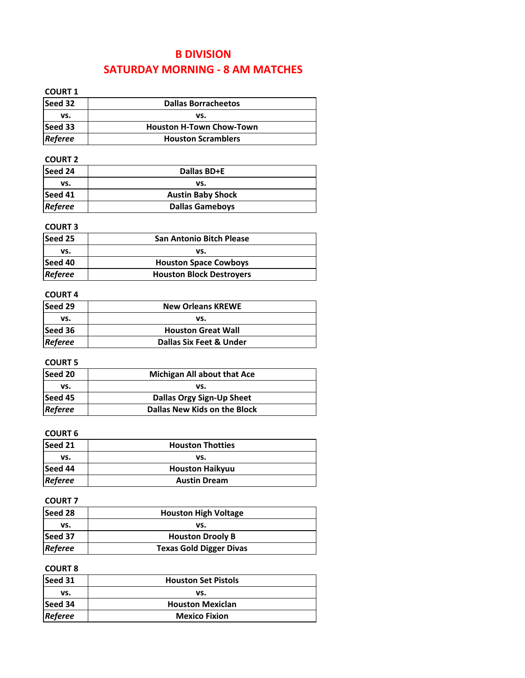### **B DIVISION SATURDAY MORNING ‐ 8 AM MATCHES**

| <b>COURT 1</b> |                                     |  |
|----------------|-------------------------------------|--|
| Seed 32        | <b>Dallas Borracheetos</b>          |  |
| VS.            | vs.                                 |  |
| Seed 33        | <b>Houston H-Town Chow-Town</b>     |  |
| Referee        | <b>Houston Scramblers</b>           |  |
| <b>COURT 2</b> |                                     |  |
| Seed 24        | <b>Dallas BD+E</b>                  |  |
| VS.            | VS.                                 |  |
| Seed 41        | <b>Austin Baby Shock</b>            |  |
| Referee        | <b>Dallas Gameboys</b>              |  |
| <b>COURT 3</b> |                                     |  |
| Seed 25        | <b>San Antonio Bitch Please</b>     |  |
| vs.            | vs.                                 |  |
| Seed 40        | <b>Houston Space Cowboys</b>        |  |
| Referee        | <b>Houston Block Destroyers</b>     |  |
| <b>COURT 4</b> |                                     |  |
| Seed 29        | <b>New Orleans KREWE</b>            |  |
| VS.            | vs.                                 |  |
| Seed 36        | <b>Houston Great Wall</b>           |  |
| Referee        | <b>Dallas Six Feet &amp; Under</b>  |  |
| <b>COURT 5</b> |                                     |  |
| Seed 20        | <b>Michigan All about that Ace</b>  |  |
| VS.            | vs.                                 |  |
| Seed 45        | Dallas Orgy Sign-Up Sheet           |  |
| Referee        | <b>Dallas New Kids on the Block</b> |  |
| <b>COURT 6</b> |                                     |  |
| Seed 21        | <b>Houston Thotties</b>             |  |
| vs.            | vs.                                 |  |
| Seed 44        | <b>Houston Haikyuu</b>              |  |
| Referee        | <b>Austin Dream</b>                 |  |
|                |                                     |  |
| <b>COURT 7</b> |                                     |  |
| Seed 28        | <b>Houston High Voltage</b>         |  |
| VS.            | vs.                                 |  |
| Seed 37        | <b>Houston Drooly B</b>             |  |

#### **COURT 8**

*Referee*

| Seed 31        | <b>Houston Set Pistols</b> |
|----------------|----------------------------|
| vs.            | vs.                        |
| Seed 34        | <b>Houston Mexiclan</b>    |
| <b>Referee</b> | <b>Mexico Fixion</b>       |

**Texas Gold Digger Divas**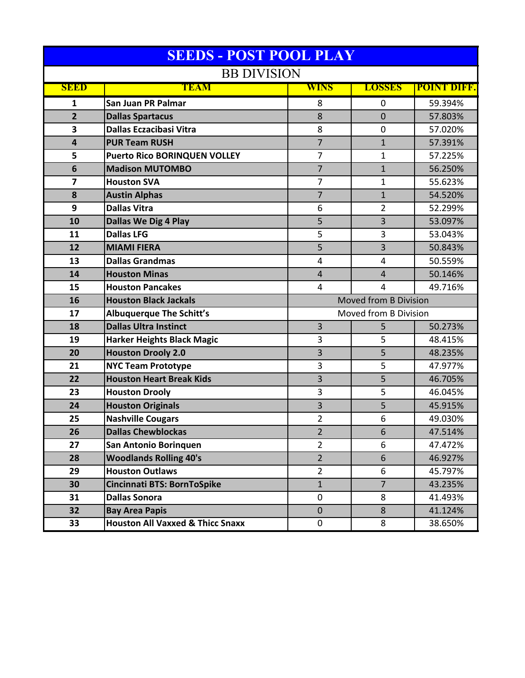| <b>SEEDS - POST POOL PLAY</b> |                                             |                       |                |             |
|-------------------------------|---------------------------------------------|-----------------------|----------------|-------------|
| <b>BB DIVISION</b>            |                                             |                       |                |             |
| <b>SEED</b>                   | TEAM                                        | <b>WINS</b>           | <b>LOSSES</b>  | POINT DIFF. |
| 1                             | San Juan PR Palmar                          | 8                     | $\mathbf 0$    | 59.394%     |
| $\overline{2}$                | <b>Dallas Spartacus</b>                     | 8                     | $\mathbf 0$    | 57.803%     |
| 3                             | <b>Dallas Eczacibasi Vitra</b>              | 8                     | 0              | 57.020%     |
| $\overline{\mathbf{4}}$       | <b>PUR Team RUSH</b>                        | $\overline{7}$        | $\mathbf{1}$   | 57.391%     |
| 5                             | <b>Puerto Rico BORINQUEN VOLLEY</b>         | $\overline{7}$        | 1              | 57.225%     |
| 6                             | <b>Madison MUTOMBO</b>                      | $\overline{7}$        | $\mathbf{1}$   | 56.250%     |
| 7                             | <b>Houston SVA</b>                          | $\overline{7}$        | $\mathbf{1}$   | 55.623%     |
| 8                             | <b>Austin Alphas</b>                        | $\overline{7}$        | $\mathbf{1}$   | 54.520%     |
| 9                             | <b>Dallas Vitra</b>                         | 6                     | 2              | 52.299%     |
| 10                            | <b>Dallas We Dig 4 Play</b>                 | 5                     | 3              | 53.097%     |
| 11                            | <b>Dallas LFG</b>                           | 5                     | 3              | 53.043%     |
| 12                            | <b>MIAMI FIERA</b>                          | 5                     | 3              | 50.843%     |
| 13                            | <b>Dallas Grandmas</b>                      | 4                     | 4              | 50.559%     |
| 14                            | <b>Houston Minas</b>                        | $\overline{4}$        | $\overline{4}$ | 50.146%     |
| 15                            | <b>Houston Pancakes</b>                     | $\overline{4}$        | 4              | 49.716%     |
| 16                            | <b>Houston Black Jackals</b>                | Moved from B Division |                |             |
| 17                            | <b>Albuquerque The Schitt's</b>             | Moved from B Division |                |             |
| 18                            | <b>Dallas Ultra Instinct</b>                | 3                     | 5              | 50.273%     |
| 19                            | <b>Harker Heights Black Magic</b>           | 3                     | 5              | 48.415%     |
| 20                            | <b>Houston Drooly 2.0</b>                   | 3                     | 5              | 48.235%     |
| 21                            | <b>NYC Team Prototype</b>                   | 3                     | 5              | 47.977%     |
| 22                            | <b>Houston Heart Break Kids</b>             | 3                     | 5              | 46.705%     |
| 23                            | <b>Houston Drooly</b>                       | 3                     | 5              | 46.045%     |
| 24                            | <b>Houston Originals</b>                    | 3                     | 5              | 45.915%     |
| 25                            | <b>Nashville Cougars</b>                    | $\overline{2}$        | 6              | 49.030%     |
| 26                            | <b>Dallas Chewblockas</b>                   | $\overline{2}$        | 6              | 47.514%     |
| 27                            | San Antonio Borinquen                       | $\overline{2}$        | 6              | 47.472%     |
| 28                            | <b>Woodlands Rolling 40's</b>               | $\overline{2}$        | 6              | 46.927%     |
| 29                            | <b>Houston Outlaws</b>                      | $\overline{2}$        | 6              | 45.797%     |
| 30                            | Cincinnati BTS: BornToSpike                 | $\mathbf{1}$          | $\overline{7}$ | 43.235%     |
| 31                            | <b>Dallas Sonora</b>                        | 0                     | 8              | 41.493%     |
| 32                            | <b>Bay Area Papis</b>                       | $\mathbf 0$           | 8              | 41.124%     |
| 33                            | <b>Houston All Vaxxed &amp; Thicc Snaxx</b> | 0                     | 8              | 38.650%     |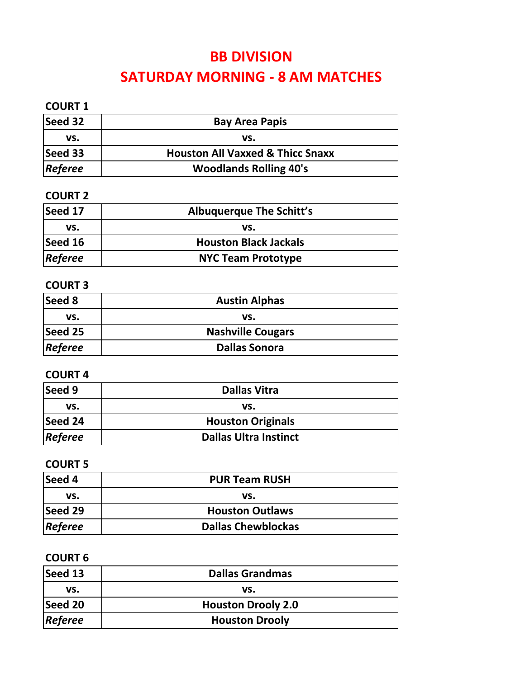### **BB DIVISION**

# **SATURDAY MORNING ‐ 8 AM MATCHES**

### **COURT 1**

| Seed 32        | <b>Bay Area Papis</b>                       |
|----------------|---------------------------------------------|
| vs.            | VS.                                         |
| Seed 33        | <b>Houston All Vaxxed &amp; Thicc Snaxx</b> |
| <b>Referee</b> | <b>Woodlands Rolling 40's</b>               |

#### **COURT 2**

| Seed 17        | <b>Albuquerque The Schitt's</b> |
|----------------|---------------------------------|
| VS.            | vs.                             |
| Seed 16        | <b>Houston Black Jackals</b>    |
| <b>Referee</b> | <b>NYC Team Prototype</b>       |

#### **COURT 3**

| Seed 8  | <b>Austin Alphas</b>     |
|---------|--------------------------|
| VS.     | vs.                      |
| Seed 25 | <b>Nashville Cougars</b> |
| Referee | <b>Dallas Sonora</b>     |

#### **COURT 4**

| <b>Seed 9</b> | <b>Dallas Vitra</b>          |
|---------------|------------------------------|
| vs.           | VS.                          |
| Seed 24       | <b>Houston Originals</b>     |
| Referee       | <b>Dallas Ultra Instinct</b> |

#### **COURT 5**

| <b>Seed 4</b> | <b>PUR Team RUSH</b>      |  |
|---------------|---------------------------|--|
| vs.           | vs.                       |  |
| Seed 29       | <b>Houston Outlaws</b>    |  |
| Referee       | <b>Dallas Chewblockas</b> |  |

#### **COURT 6**

| Seed 13        | <b>Dallas Grandmas</b>    |
|----------------|---------------------------|
| VS.            | VS.                       |
| Seed 20        | <b>Houston Drooly 2.0</b> |
| <b>Referee</b> | <b>Houston Drooly</b>     |